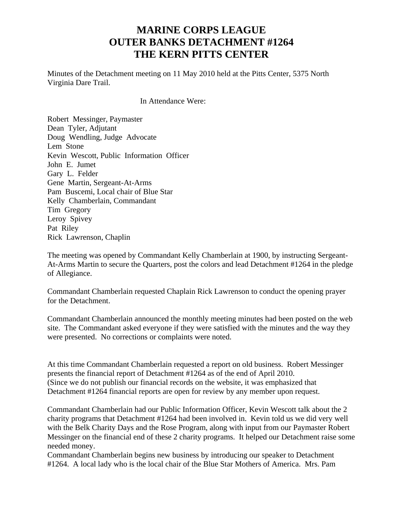## **MARINE CORPS LEAGUE OUTER BANKS DETACHMENT #1264 THE KERN PITTS CENTER**

Minutes of the Detachment meeting on 11 May 2010 held at the Pitts Center, 5375 North Virginia Dare Trail.

In Attendance Were:

Robert Messinger, Paymaster Dean Tyler, Adjutant Doug Wendling, Judge Advocate Lem Stone Kevin Wescott, Public Information Officer John E. Jumet Gary L. Felder Gene Martin, Sergeant-At-Arms Pam Buscemi, Local chair of Blue Star Kelly Chamberlain, Commandant Tim Gregory Leroy Spivey Pat Riley Rick Lawrenson, Chaplin

The meeting was opened by Commandant Kelly Chamberlain at 1900, by instructing Sergeant-At-Arms Martin to secure the Quarters, post the colors and lead Detachment #1264 in the pledge of Allegiance.

Commandant Chamberlain requested Chaplain Rick Lawrenson to conduct the opening prayer for the Detachment.

Commandant Chamberlain announced the monthly meeting minutes had been posted on the web site. The Commandant asked everyone if they were satisfied with the minutes and the way they were presented. No corrections or complaints were noted.

At this time Commandant Chamberlain requested a report on old business. Robert Messinger presents the financial report of Detachment #1264 as of the end of April 2010. (Since we do not publish our financial records on the website, it was emphasized that Detachment #1264 financial reports are open for review by any member upon request.

Commandant Chamberlain had our Public Information Officer, Kevin Wescott talk about the 2 charity programs that Detachment #1264 had been involved in. Kevin told us we did very well with the Belk Charity Days and the Rose Program, along with input from our Paymaster Robert Messinger on the financial end of these 2 charity programs. It helped our Detachment raise some needed money.

Commandant Chamberlain begins new business by introducing our speaker to Detachment #1264. A local lady who is the local chair of the Blue Star Mothers of America. Mrs. Pam